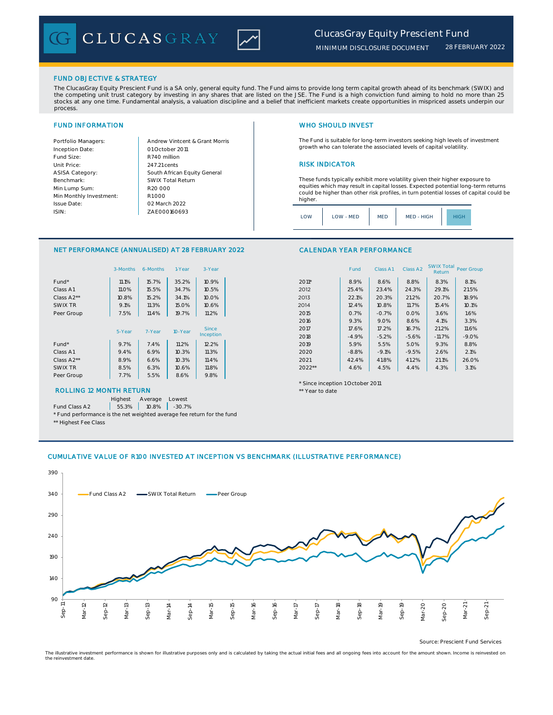

### *28 FEBRUARY 2022*

# FUND OBJECTIVE & STRATEGY

The ClucasGray Equity Prescient Fund is a SA only, general equity fund. The Fund aims to provide long term capital growth ahead of its benchmark (SWIX) and the competing unit trust category by investing in any shares that are listed on the JSE. The Fund is a high conviction fund aiming to hold no more than 25 stocks at any one time. Fundamental analysis, a valuation discipline and a belief that inefficient markets create opportunities in mispriced assets underpin our process.

Inception Date: Fund Size:<br>
Unit Price:<br>
247.21 cents ASISA Category: Benchmark: Min Lump Sum: Min Monthly Investment: Issue Date: ISIN:

Portfolio Managers: <br>Andrew Vintcent & Grant Morris ZAE000160693 South African Equity General 247.21 cents R1 000 01 October 2011 02 March 2022 R20 000 SWIX Total Return

# FUND INFORMATION WHO SHOULD INVEST

The Fund is suitable for long-term investors seeking high levels of investment growth who can tolerate the associated levels of capital volatility.

## **RISK INDICATOR**

These funds typically exhibit more volatility given their higher exposure to equities which may result in capital losses. Expected potential long-term returns could be higher than other risk profiles, in turn potential losses of capital could be higher.

| OM | LOW - MED | MED | MED - HIGH |  |
|----|-----------|-----|------------|--|
|    |           |     |            |  |

## NET PERFORMANCE (ANNUALISED) AT 28 FEBRUARY 2022

|            | 3-Months     | 6-Months | 1-Year  | 3-Year    |                                  | Fund    | Class A1 | Class A <sub>2</sub> | <b>SWIX Total</b><br>Return | Peer Gro |
|------------|--------------|----------|---------|-----------|----------------------------------|---------|----------|----------------------|-----------------------------|----------|
| Fund*      | 11.1%        | 15.7%    | 35.2%   | 10.9%     | $2011*$                          | 8.9%    | 8.6%     | 8.8%                 | 8.3%                        | 8.1%     |
| Class A1   | <b>11.0%</b> | 15.5%    | 34.7%   | 10.5%     | 2012                             | 25.4%   | 23.4%    | 24.3%                | 29.1%                       | 21.5%    |
| Class A2** | 10.8%        | 15.2%    | 34.1%   | 10.0%     | 2013                             | 22.1%   | 20.3%    | 21.2%                | 20.7%                       | 18.9%    |
| SWIX TR    | 9.1%         | 11.3%    | 15.0%   | 10.6%     | 2014                             | 12.4%   | 10.8%    | 11.7%                | 15.4%                       | 10.1%    |
| Peer Group | 7.5%         | 11.4%    | 19.7%   | 11.2%     | 2015                             | 0.7%    | $-0.7%$  | 0.0%                 | 3.6%                        | 1.6%     |
|            |              |          |         |           | 2016                             | 9.3%    | 9.0%     | 8.6%                 | 4.1%                        | 3.3%     |
|            | 5-Year       | 7-Year   | 10-Year | Since     | 2017                             | 17.6%   | 17.2%    | 16.7%                | 21.2%                       | 11.6%    |
|            |              |          |         | Inception | 2018                             | $-4.9%$ | $-5.2%$  | $-5.6%$              | $-11.7%$                    | $-9.09$  |
| Fund*      | 9.7%         | 7.4%     | 11.2%   | 12.2%     | 2019                             | 5.9%    | 5.5%     | 5.0%                 | 9.3%                        | 8.8%     |
| Class A1   | 9.4%         | 6.9%     | 10.3%   | 11.3%     | 2020                             | $-8.8%$ | $-9.1%$  | $-9.5%$              | 2.6%                        | 2.1%     |
| Class A2** | 8.9%         | 6.6%     | 10.3%   | 11.4%     | 2021                             | 42.4%   | 41.8%    | 41.2%                | 21.1%                       | 26.09    |
| SWIX TR    | 8.5%         | 6.3%     | 10.6%   | 11.8%     | $2022**$                         | 4.6%    | 4.5%     | 4.4%                 | 4.3%                        | 3.1%     |
| Peer Group | 7.7%         | 5.5%     | 8.6%    | 9.8%      |                                  |         |          |                      |                             |          |
|            |              |          |         |           | * Since incention 1 October 2011 |         |          |                      |                             |          |

# ROLLING 12 MONTH RETURN THE RESERVE TO A 1990 A 200 MM AND 40 MM AND 40 MM AND 40 MM AND 40 MM AND 40 MM AND 40 MM AND 40 MM AND 40 MM AND 40 MM AND 40 MM AND 40 MM AND 40 MM AND 40 MM AND 40 MM AND 40 MM AND 40 MM AND 40

Highest Average Lowest

Fund Class A2 | 55.3% | 10.8% | -30.7%

\* Fund performance is the net weighted average fee return for the fund

\*\* Highest Fee Class

### CALENDAR YEAR PERFORMANCE

|            | 3-Months | 6-Months | 1-Year  | 3-Year       |         | Fund    | Class A1 | Class A2 | <b>SWIX Total</b><br>Return | Peer Group |
|------------|----------|----------|---------|--------------|---------|---------|----------|----------|-----------------------------|------------|
| Fund*      | 11.1%    | 15.7%    | 35.2%   | 10.9%        | $2011*$ | 8.9%    | 8.6%     | 8.8%     | 8.3%                        | 8.1%       |
| Class A1   | 11.0%    | 15.5%    | 34.7%   | 10.5%        | 2012    | 25.4%   | 23.4%    | 24.3%    | 29.1%                       | 21.5%      |
| Class A2** | 10.8%    | 15.2%    | 34.1%   | 10.0%        | 2013    | 22.1%   | 20.3%    | 21.2%    | 20.7%                       | 18.9%      |
| SWIX TR    | 9.1%     | 11.3%    | 15.0%   | 10.6%        | 2014    | 12.4%   | 10.8%    | 11.7%    | 15.4%                       | 10.1%      |
| Peer Group | 7.5%     | 11.4%    | 19.7%   | 11.2%        | 2015    | 0.7%    | $-0.7%$  | 0.0%     | 3.6%                        | 1.6%       |
|            |          |          |         |              | 2016    | 9.3%    | 9.0%     | 8.6%     | 4.1%                        | 3.3%       |
|            | 5-Year   | 7-Year   | 10-Year | <b>Since</b> | 2017    | 17.6%   | 17.2%    | 16.7%    | 21.2%                       | 11.6%      |
|            |          |          |         | Inception    | 2018    | $-4.9%$ | $-5.2%$  | $-5.6%$  | $-11.7%$                    | $-9.0%$    |
| Fund*      | 9.7%     | 7.4%     | 11.2%   | 12.2%        | 2019    | 5.9%    | 5.5%     | 5.0%     | 9.3%                        | 8.8%       |
| Class A1   | 9.4%     | 6.9%     | 10.3%   | 11.3%        | 2020    | $-8.8%$ | $-9.1%$  | $-9.5%$  | 2.6%                        | 2.1%       |
| Class A2** | 8.9%     | 6.6%     | 10.3%   | 11.4%        | 2021    | 42.4%   | 41.8%    | 41.2%    | 21.1%                       | 26.0%      |
| SWIX TR    | 8.5%     | 6.3%     | 10.6%   | 11.8%        | 2022**  | 4.6%    | 4.5%     | 4.4%     | 4.3%                        | 3.1%       |

### \* Since inception 1 October 2011

# CUMULATIVE VALUE OF R100 INVESTED AT INCEPTION VS BENCHMARK (ILLUSTRATIVE PERFORMANCE)



Source: Prescient Fund Services

The illustrative investment performance is shown for illustrative purposes only and is calculated by taking the actual initial fees and all ongoing fees into account for the amount shown. Income is reinvested on the reinvestment date.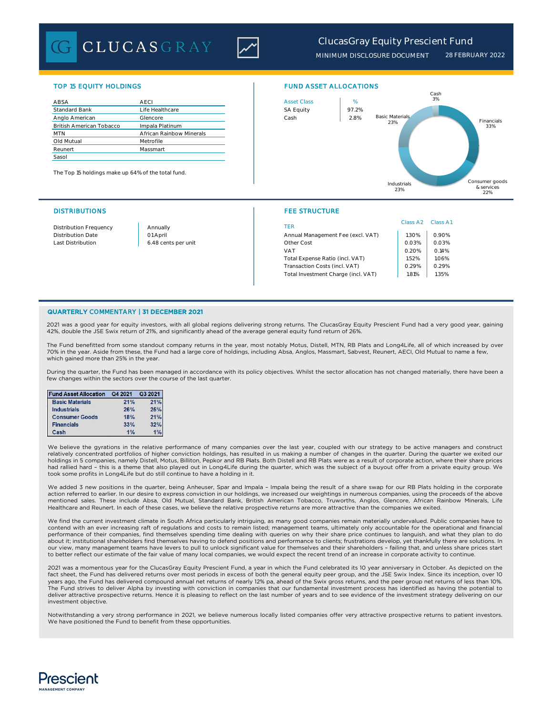**CLUCASGRAY** 



# *ClucasGray Equity Prescient Fund*

*MINIMUM DISCLOSURE DOCUMENT 28 FEBRUARY 2022*

| ABSA                            | <b>AECI</b>              | <b>Asset Class</b> | $\%$  |
|---------------------------------|--------------------------|--------------------|-------|
| <b>Standard Bank</b>            | Life Healthcare          | <b>SA Equity</b>   | 97.2% |
| Anglo American                  | Glencore                 | Cash               | 2.8%  |
| <b>British American Tobacco</b> | Impala Platinum          |                    |       |
| <b>MTN</b>                      | African Rainbow Minerals |                    |       |
| Old Mutual                      | Metrofile                |                    |       |
| Reunert                         | Massmart                 |                    |       |
| Sasol                           |                          |                    |       |

The Top 15 holdings make up 64% of the total fund.

### DISTRIBUTIONS FEE STRUCTURE

# TOP 15 EQUITY HOLDINGS FUND ASSET ALLOCATIONS



| Distribution Frequency | Annually            | TER                                 | Class A <sub>2</sub> | Class A1 |
|------------------------|---------------------|-------------------------------------|----------------------|----------|
| Distribution Date      | 01 April            | Annual Management Fee (excl. VAT)   | .30%                 | 0.90%    |
| Last Distribution      | 6.48 cents per unit | Other Cost                          | 0.03%                | 0.03%    |
|                        |                     | <b>VAT</b>                          | 0.20%                | 0.14%    |
|                        |                     | Total Expense Ratio (incl. VAT)     | 1.52%                | 1.06%    |
|                        |                     | Transaction Costs (incl. VAT)       | 0.29%                | 0.29%    |
|                        |                     | Total Investment Charge (incl. VAT) | 1.81%                | 1.35%    |
|                        |                     |                                     |                      |          |

### QUARTERLY COMMENTARY | 31 DECEMBER 2021

2021 was a good year for equity investors, with all global regions delivering strong returns. The ClucasGray Equity Prescient Fund had a very good year, gaining 42%, double the JSE Swix return of 21%, and significantly ahead of the average general equity fund return of 26%.

The Fund benefitted from some standout company returns in the year, most notably Motus, Distell, MTN, RB Plats and Long4Life, all of which increased by over 70% in the year. Aside from these, the Fund had a large core of holdings, including Absa, Anglos, Massmart, Sabvest, Reunert, AECI, Old Mutual to name a few, which gained more than 25% in the year.

During the quarter, the Fund has been managed in accordance with its policy objectives. Whilst the sector allocation has not changed materially, there have been a few changes within the sectors over the course of the last quarter.

| <b>Fund Asset Allocation</b> | Q4 2021 | Q3 2021 |
|------------------------------|---------|---------|
| <b>Basic Materials</b>       | 21%     | 21%     |
| <b>Industrials</b>           | 26%     | 25%     |
| <b>Consumer Goods</b>        | 18%     | 21%     |
| <b>Financials</b>            | 33%     | 32%     |
| Cash                         | 1%      | 1%      |

We believe the gyrations in the relative performance of many companies over the last year, coupled with our strategy to be active managers and construct relatively concentrated portfolios of higher conviction holdings, has resulted in us making a number of changes in the quarter. During the quarter we exited our<br>holdings in 5 companies, namely Distell, Motus, Billiton, Pep had rallied hard – this is a theme that also played out in Long4Life during the quarter, which was the subject of a buyout offer from a private equity group. We took some profits in Long4Life but do still continue to have a holding in it.

We added 3 new positions in the quarter, being Anheuser, Spar and Impala – Impala being the result of a share swap for our RB Plats holding in the corporate action referred to earlier. In our desire to express conviction in our holdings, we increased our weightings in numerous companies, using the proceeds of the above mentioned sales. These include Absa, Old Mutual, Standard Bank, British American Tobacco, Truworths, Anglos, Glencore, African Rainbow Minerals, Life Healthcare and Reunert. In each of these cases, we believe the relative prospective returns are more attractive than the companies we exited.

We find the current investment climate in South Africa particularly intriguing, as many good companies remain materially undervalued. Public companies have to contend with an ever increasing raft of regulations and costs to remain listed; management teams, ultimately only accountable for the operational and financial performance of their companies, find themselves spending time dealing with queries on why their share price continues to languish, and what they plan to do about it; institutional shareholders find themselves having to defend positions and performance to clients; frustrations develop, yet thankfully there are solutions. In our view, many management teams have levers to pull to unlock significant value for themselves and their shareholders – failing that, and unless share prices start to better reflect our estimate of the fair value of many local companies, we would expect the recent trend of an increase in corporate activity to continue.

2021 was a momentous year for the ClucasGray Equity Prescient Fund, a year in which the Fund celebrated its 10 year anniversary in October. As depicted on the<br>fact sheet, the Fund has delivered returns over most periods in years ago, the Fund has delivered compound annual net returns of nearly 12% pa, ahead of the Swix gross returns, and the peer group net returns of less than 10%. The Fund strives to deliver Alpha by investing with conviction in companies that our fundamental investment process has identified as having the potential to deliver attractive prospective returns. Hence it is pleasing to reflect on the last number of years and to see evidence of the investment strategy delivering on our investment objective.

Notwithstanding a very strong performance in 2021, we believe numerous locally listed companies offer very attractive prospective returns to patient investors. We have positioned the Fund to benefit from these opportunities.